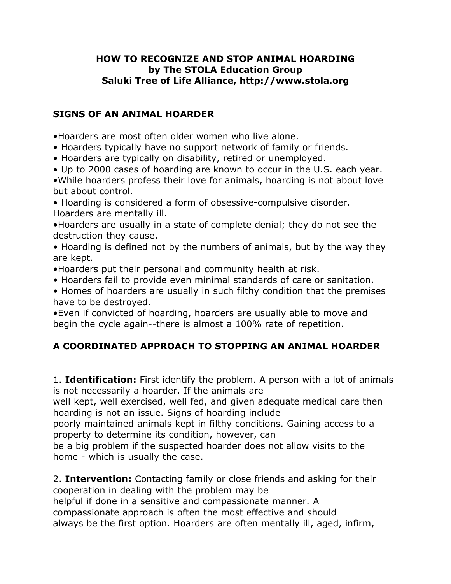## **HOW TO RECOGNIZE AND STOP ANIMAL HOARDING by The STOLA Education Group Saluki Tree of Life Alliance, http://www.stola.org**

## **SIGNS OF AN ANIMAL HOARDER**

•Hoarders are most often older women who live alone.

- Hoarders typically have no support network of family or friends.
- Hoarders are typically on disability, retired or unemployed.
- Up to 2000 cases of hoarding are known to occur in the U.S. each year.

•While hoarders profess their love for animals, hoarding is not about love but about control.

• Hoarding is considered a form of obsessive-compulsive disorder. Hoarders are mentally ill.

•Hoarders are usually in a state of complete denial; they do not see the destruction they cause.

• Hoarding is defined not by the numbers of animals, but by the way they are kept.

•Hoarders put their personal and community health at risk.

• Hoarders fail to provide even minimal standards of care or sanitation.

• Homes of hoarders are usually in such filthy condition that the premises have to be destroyed.

•Even if convicted of hoarding, hoarders are usually able to move and begin the cycle again--there is almost a 100% rate of repetition.

## **A COORDINATED APPROACH TO STOPPING AN ANIMAL HOARDER**

1. **Identification:** First identify the problem. A person with a lot of animals is not necessarily a hoarder. If the animals are

well kept, well exercised, well fed, and given adequate medical care then hoarding is not an issue. Signs of hoarding include

poorly maintained animals kept in filthy conditions. Gaining access to a property to determine its condition, however, can

be a big problem if the suspected hoarder does not allow visits to the home - which is usually the case.

2. **Intervention:** Contacting family or close friends and asking for their cooperation in dealing with the problem may be

helpful if done in a sensitive and compassionate manner. A compassionate approach is often the most effective and should always be the first option. Hoarders are often mentally ill, aged, infirm,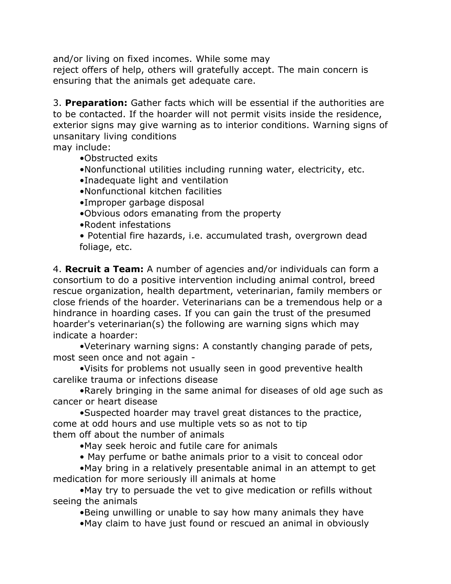and/or living on fixed incomes. While some may

reject offers of help, others will gratefully accept. The main concern is ensuring that the animals get adequate care.

3. **Preparation:** Gather facts which will be essential if the authorities are to be contacted. If the hoarder will not permit visits inside the residence, exterior signs may give warning as to interior conditions. Warning signs of unsanitary living conditions

may include:

- •Obstructed exits
- •Nonfunctional utilities including running water, electricity, etc.
- •Inadequate light and ventilation
- •Nonfunctional kitchen facilities
- •Improper garbage disposal
- •Obvious odors emanating from the property
- •Rodent infestations
- Potential fire hazards, i.e. accumulated trash, overgrown dead foliage, etc.

4. **Recruit a Team:** A number of agencies and/or individuals can form a consortium to do a positive intervention including animal control, breed rescue organization, health department, veterinarian, family members or close friends of the hoarder. Veterinarians can be a tremendous help or a hindrance in hoarding cases. If you can gain the trust of the presumed hoarder's veterinarian(s) the following are warning signs which may indicate a hoarder:

•Veterinary warning signs: A constantly changing parade of pets, most seen once and not again -

•Visits for problems not usually seen in good preventive health carelike trauma or infections disease

•Rarely bringing in the same animal for diseases of old age such as cancer or heart disease

•Suspected hoarder may travel great distances to the practice, come at odd hours and use multiple vets so as not to tip them off about the number of animals

- •May seek heroic and futile care for animals
- May perfume or bathe animals prior to a visit to conceal odor

•May bring in a relatively presentable animal in an attempt to get medication for more seriously ill animals at home

•May try to persuade the vet to give medication or refills without seeing the animals

•Being unwilling or unable to say how many animals they have

•May claim to have just found or rescued an animal in obviously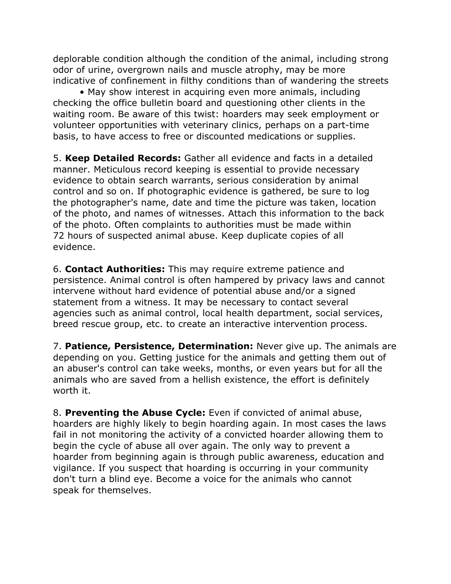deplorable condition although the condition of the animal, including strong odor of urine, overgrown nails and muscle atrophy, may be more indicative of confinement in filthy conditions than of wandering the streets

• May show interest in acquiring even more animals, including checking the office bulletin board and questioning other clients in the waiting room. Be aware of this twist: hoarders may seek employment or volunteer opportunities with veterinary clinics, perhaps on a part-time basis, to have access to free or discounted medications or supplies.

5. **Keep Detailed Records:** Gather all evidence and facts in a detailed manner. Meticulous record keeping is essential to provide necessary evidence to obtain search warrants, serious consideration by animal control and so on. If photographic evidence is gathered, be sure to log the photographer's name, date and time the picture was taken, location of the photo, and names of witnesses. Attach this information to the back of the photo. Often complaints to authorities must be made within 72 hours of suspected animal abuse. Keep duplicate copies of all evidence.

6. **Contact Authorities:** This may require extreme patience and persistence. Animal control is often hampered by privacy laws and cannot intervene without hard evidence of potential abuse and/or a signed statement from a witness. It may be necessary to contact several agencies such as animal control, local health department, social services, breed rescue group, etc. to create an interactive intervention process.

7. **Patience, Persistence, Determination:** Never give up. The animals are depending on you. Getting justice for the animals and getting them out of an abuser's control can take weeks, months, or even years but for all the animals who are saved from a hellish existence, the effort is definitely worth it.

8. **Preventing the Abuse Cycle:** Even if convicted of animal abuse, hoarders are highly likely to begin hoarding again. In most cases the laws fail in not monitoring the activity of a convicted hoarder allowing them to begin the cycle of abuse all over again. The only way to prevent a hoarder from beginning again is through public awareness, education and vigilance. If you suspect that hoarding is occurring in your community don't turn a blind eye. Become a voice for the animals who cannot speak for themselves.